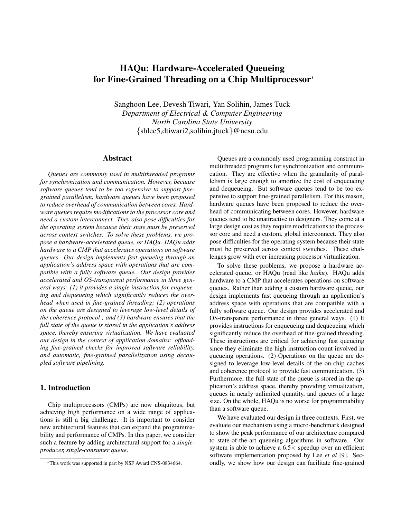# HAQu: Hardware-Accelerated Queueing for Fine-Grained Threading on a Chip Multiprocessor<sup>∗</sup>

Sanghoon Lee, Devesh Tiwari, Yan Solihin, James Tuck *Department of Electrical & Computer Engineering North Carolina State University* {shlee5,dtiwari2,solihin,jtuck}@ncsu.edu

### Abstract

*Queues are commonly used in multithreaded programs for synchronization and communication. However, because software queues tend to be too expensive to support finegrained parallelism, hardware queues have been proposed to reduce overhead of communication between cores. Hardware queues require modifications to the processor core and need a custom interconnect. They also pose difficulties for the operating system because their state must be preserved across context switches. To solve these problems, we propose a hardware-accelerated queue, or HAQu. HAQu adds hardware to a CMP that accelerates operations on software queues. Our design implements fast queueing through an application's address space with operations that are compatible with a fully software queue. Our design provides accelerated and OS-transparent performance in three general ways: (1) it provides a single instruction for enqueueing and dequeueing which significantly reduces the overhead when used in fine-grained threading; (2) operations on the queue are designed to leverage low-level details of the coherence protocol ; and (3) hardware ensures that the full state of the queue is stored in the application's address space, thereby ensuring virtualization. We have evaluated our design in the context of application domains: offloading fine-grained checks for improved software reliability, and automatic, fine-grained parallelization using decoupled software pipelining.*

# 1. Introduction

Chip multiprocessors (CMPs) are now ubiquitous, but achieving high performance on a wide range of applications is still a big challenge. It is important to consider new architectural features that can expand the programmability and performance of CMPs. In this paper, we consider such a feature by adding architectural support for a *singleproducer, single-consumer queue*.

Queues are a commonly used programming construct in multithreaded programs for synchronization and communication. They are effective when the granularity of parallelism is large enough to amortize the cost of enqueueing and dequeueing. But software queues tend to be too expensive to support fine-grained parallelism. For this reason, hardware queues have been proposed to reduce the overhead of communicating between cores. However, hardware queues tend to be unattractive to designers. They come at a large design cost as they require modifications to the processor core and need a custom, global interconnect. They also pose difficulties for the operating system because their state must be preserved across context switches. These challenges grow with ever increasing processor virtualization.

To solve these problems, we propose a hardware accelerated queue, or HAQu (read like *haiku*). HAQu adds hardware to a CMP that accelerates operations on software queues. Rather than adding a custom hardware queue, our design implements fast queueing through an application's address space with operations that are compatible with a fully software queue. Our design provides accelerated and OS-transparent performance in three general ways. (1) It provides instructions for enqueueing and dequeueing which significantly reduce the overhead of fine-grained threading. These instructions are critical for achieving fast queueing since they eliminate the high instruction count involved in queueing operations. (2) Operations on the queue are designed to leverage low-level details of the on-chip caches and coherence protocol to provide fast communication. (3) Furthermore, the full state of the queue is stored in the application's address space, thereby providing virtualization, queues in nearly unlimited quantity, and queues of a large size. On the whole, HAQu is no worse for programmability than a software queue.

We have evaluated our design in three contexts. First, we evaluate our mechanism using a micro-benchmark designed to show the peak performance of our architecture compared to state-of-the-art queueing algorithms in software. Our system is able to achieve a  $6.5 \times$  speedup over an efficient software implementation proposed by Lee *et al* [9]. Secondly, we show how our design can facilitate fine-grained

<sup>∗</sup>This work was supported in part by NSF Award CNS-0834664.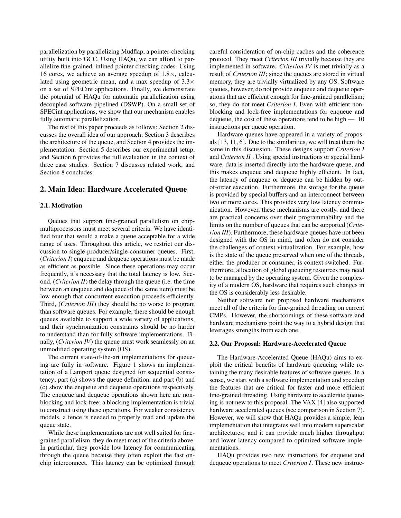parallelization by parallelizing Mudflap, a pointer-checking utility built into GCC. Using HAQu, we can afford to parallelize fine-grained, inlined pointer checking codes. Using 16 cores, we achieve an average speedup of  $1.8\times$ , calculated using geometric mean, and a max speedup of  $3.3\times$ on a set of SPECint applications. Finally, we demonstrate the potential of HAQu for automatic parallelization using decoupled software pipelined (DSWP). On a small set of SPECint applications, we show that our mechanism enables fully automatic parallelization.

The rest of this paper proceeds as follows: Section 2 discusses the overall idea of our approach; Section 3 describes the architecture of the queue, and Section 4 provides the implementation. Section 5 describes our experimental setup, and Section 6 provides the full evaluation in the context of three case studies. Section 7 discusses related work, and Section 8 concludes.

### 2. Main Idea: Hardware Accelerated Queue

### 2.1. Motivation

Queues that support fine-grained parallelism on chipmultiprocessors must meet several criteria. We have identified four that would a make a queue acceptable for a wide range of uses. Throughout this article, we restrict our discussion to single-producer/single-consumer queues. First, (*Criterion I*) enqueue and dequeue operations must be made as efficient as possible. Since these operations may occur frequently, it's necessary that the total latency is low. Second, (*Criterion II*) the delay through the queue (i.e. the time between an enqueue and dequeue of the same item) must be low enough that concurrent execution proceeds efficiently. Third, (*Criterion III*) they should be no worse to program than software queues. For example, there should be enough queues available to support a wide variety of applications, and their synchronization constraints should be no harder to understand than for fully software implementations. Finally, (*Criterion IV*) the queue must work seamlessly on an unmodified operating system (OS).

The current state-of-the-art implementations for queueing are fully in software. Figure 1 shows an implementation of a Lamport queue designed for sequential consistency; part (a) shows the queue definition, and part (b) and (c) show the enqueue and dequeue operations respectively. The enqueue and dequeue operations shown here are nonblocking and lock-free; a blocking implementation is trivial to construct using these operations. For weaker consistency models, a fence is needed to properly read and update the queue state.

While these implementations are not well suited for finegrained parallelism, they do meet most of the criteria above. In particular, they provide low latency for communicating through the queue because they often exploit the fast onchip interconnect. This latency can be optimized through

careful consideration of on-chip caches and the coherence protocol. They meet *Criterion III* trivially because they are implemented in software. *Criterion IV* is met trivially as a result of *Criterion III*; since the queues are stored in virtual memory, they are trivially virtualized by any OS. Software queues, however, do not provide enqueue and dequeue operations that are efficient enough for fine-grained parallelism; so, they do not meet *Criterion I*. Even with efficient nonblocking and lock-free implementations for enqueue and dequeue, the cost of these operations tend to be high  $-10$ instructions per queue operation.

Hardware queues have appeared in a variety of proposals [13, 11, 6]. Due to the similarities, we will treat them the same in this discussion. These designs support *Criterion I* and *Criterion II* . Using special instructions or special hardware, data is inserted directly into the hardware queue, and this makes enqueue and dequeue highly efficient. In fact, the latency of enqueue or dequeue can be hidden by outof-order execution. Furthermore, the storage for the queue is provided by special buffers and an interconnect between two or more cores. This provides very low latency communication. However, these mechanisms are costly, and there are practical concerns over their programmability and the limits on the number of queues that can be supported (*Criterion III*). Furthermore, these hardware queues have not been designed with the OS in mind, and often do not consider the challenges of context virtualization. For example, how is the state of the queue preserved when one of the threads, either the producer or consumer, is context switched. Furthermore, allocation of global queueing resources may need to be managed by the operating system. Given the complexity of a modern OS, hardware that requires such changes in the OS is considerably less desirable.

Neither software nor proposed hardware mechanisms meet all of the criteria for fine-grained threading on current CMPs. However, the shortcomings of these software and hardware mechanisms point the way to a hybrid design that leverages strengths from each one.

### 2.2. Our Proposal: Hardware-Accelerated Queue

The Hardware-Accelerated Queue (HAQu) aims to exploit the critical benefits of hardware queueing while retaining the many desirable features of software queues. In a sense, we start with a software implementation and speedup the features that are critical for faster and more efficient fine-grained threading. Using hardware to accelerate queueing is not new to this proposal. The VAX [4] also supported hardware accelerated queues (see comparison in Section 7). However, we will show that HAQu provides a simple, lean implementation that integrates well into modern superscalar architectures; and it can provide much higher throughput and lower latency compared to optimized software implementations.

HAQu provides two new instructions for enqueue and dequeue operations to meet *Criterion I*. These new instruc-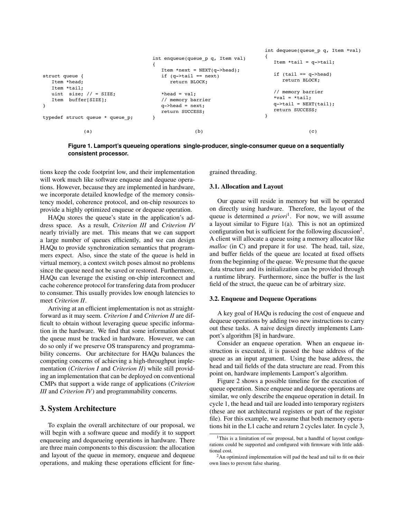```
struct queue {
   Item *head;
   Item *tail;
  uint size; // = SIZE; Item buffer[SIZE];
}
typedef struct queue * queue_p;
                                  int enqueue(queue_p q, Item val)
                                  {
                                     Item *next = NEXT(q->head);if (q->tail == next) return BLOCK;
                                     *head = val;
                                      // memory barrier
                                     q->head = next;
                                      return SUCCESS; 
                                  }
                                                                     int dequeue(queue_p q, Item *val)
                                                                     {
                                                                        Item *tail = q->tail:
                                                                        if (tail == q->head) return BLOCK;
                                                                         // memory barrier
                                                                         *val = *tail;
                                                                        q->tail = NEXT(tail);
                                                                        return SUCCESS; 
                                                                     }
            (a) (b) (c)
```

```
Figure 1. Lamport's queueing operations single-producer, single-consumer queue on a sequentially
consistent processor.
```
tions keep the code footprint low, and their implementation will work much like software enqueue and dequeue operations. However, because they are implemented in hardware, we incorporate detailed knowledge of the memory consistency model, coherence protocol, and on-chip resources to provide a highly optimized enqueue or dequeue operation.

HAQu stores the queue's state in the application's address space. As a result, *Criterion III* and *Criterion IV* nearly trivially are met. This means that we can support a large number of queues efficiently, and we can design HAQu to provide synchronization semantics that programmers expect. Also, since the state of the queue is held in virtual memory, a context switch poses almost no problems since the queue need not be saved or restored. Furthermore, HAQu can leverage the existing on-chip interconnect and cache coherence protocol for transfering data from producer to consumer. This usually provides low enough latencies to meet *Criterion II*.

Arriving at an efficient implementation is not as straightforward as it may seem. *Criterion I* and *Criterion II* are difficult to obtain without leveraging queue specific information in the hardware. We find that some information about the queue must be tracked in hardware. However, we can do so only if we preserve OS transparency and programmability concerns. Our architecture for HAQu balances the competing concerns of achieving a high-throughput implementation (*Criterion I* and *Criterion II*) while still providing an implementation that can be deployed on conventional CMPs that support a wide range of applications (*Criterion III* and *Criterion IV*) and programmability concerns.

### 3. System Architecture

To explain the overall architecture of our proposal, we will begin with a software queue and modify it to support enqueueing and dequeueing operations in hardware. There are three main components to this discussion: the allocation and layout of the queue in memory, enqueue and dequeue operations, and making these operations efficient for finegrained threading.

### 3.1. Allocation and Layout

Our queue will reside in memory but will be operated on directly using hardware. Therefore, the layout of the queue is determined *a priori*<sup>1</sup>. For now, we will assume a layout similar to Figure 1(a). This is not an optimized configuration but is sufficient for the following discussion<sup>2</sup>. A client will allocate a queue using a memory allocator like *malloc* (in C) and prepare it for use. The head, tail, size, and buffer fields of the queue are located at fixed offsets from the beginning of the queue. We presume that the queue data structure and its initialization can be provided through a runtime library. Furthermore, since the buffer is the last field of the struct, the queue can be of arbitrary size.

### 3.2. Enqueue and Dequeue Operations

A key goal of HAQu is reducing the cost of enqueue and dequeue operations by adding two new instructions to carry out these tasks. A naive design directly implements Lamport's algorithm [8] in hardware.

Consider an enqueue operation. When an enqueue instruction is executed, it is passed the base address of the queue as an input argument. Using the base address, the head and tail fields of the data structure are read. From this point on, hardware implements Lamport's algorithm.

Figure 2 shows a possible timeline for the execution of queue operation. Since enqueue and dequeue operations are similar, we only describe the enqueue operation in detail. In cycle 1, the head and tail are loaded into temporary registers (these are not architectural registers or part of the register file). For this example, we assume that both memory operations hit in the L1 cache and return 2 cycles later. In cycle 3,

<sup>&</sup>lt;sup>1</sup>This is a limitation of our proposal, but a handful of layout configurations could be supported and configured with firmware with little additional cost.

<sup>&</sup>lt;sup>2</sup>An optimized implementation will pad the head and tail to fit on their own lines to prevent false sharing.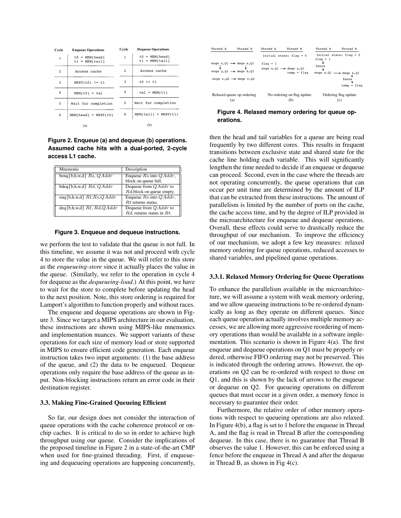| Cycle          | <b>Enqueue Operations</b>            | Cycle        | <b>Dequeue Operations</b>            |
|----------------|--------------------------------------|--------------|--------------------------------------|
| $\overline{1}$ | $t0 = MEM[head]$<br>$t1 = MEM[tail]$ | $\mathbf{1}$ | $t0 = MEM[head]$<br>$t1 = MEM[tail]$ |
| $\overline{2}$ | Access cache                         | 2            | Access cache                         |
| 3              | $NEXT(t0)$ != t1                     | 3            | $\pm 0$ $1 = \pm 1$                  |
| 4              | $MEM[t0] = val$                      | 4            | $val = MEM[t1]$                      |
| 5              | Wait for completion                  | 5            | Wait for completion                  |
| 6              | $MEM[head] = NEXT(t0)$               | 6            | $MENTtail$ = $NEXT(t1)$              |
|                | (a)                                  |              | (b)                                  |

**Figure 2. Enqueue (a) and dequeue (b) operations. Assumed cache hits with a dual-ported, 2-cycle access L1 cache.**

| Mnemonic                                   | Description                     |
|--------------------------------------------|---------------------------------|
| beng $\{b,h,w,d\}$ Rs, QAddr               | Enqueue $Rs$ into $QAddr$ ,     |
|                                            | block on queue full.            |
| $bdeg{b,h,w,d}$ $Rd, QAddr$                | Dequeue from $QAddr$ to         |
|                                            | Rd, block on queue empty.       |
| enq{b,h,w,d} $Rt$ , $Rs$ , $QAddr$         | Enqueue $Rs$ into $QAddr$ ,     |
|                                            | $Rt$ returns status.            |
| $\text{deg} \{b, h, w, d\}$ Rt, Rd, Q Addr | Dequeue from $QAddr$ to         |
|                                            | $Rd$ , returns status in $Rt$ . |

#### **Figure 3. Enqueue and dequeue instructions.**

we perform the test to validate that the queue is not full. In this timeline, we assume it was not and proceed with cycle 4 to store the value in the queue. We will refer to this store as the *enqueueing-store* since it actually places the value in the queue. (Similarly, we refer to the operation in cycle 4 for dequeue as the *dequeueing-load*.) At this point, we have to wait for the store to complete before updating the head to the next position. Note, this store ordering is required for Lamport's algorithm to function properly and without races.

The enqueue and dequeue operations are shown in Figure 3. Since we target a MIPS architecture in our evaluation, these instructions are shown using MIPS-like mnemonics and implementation nuances. We support variants of these operations for each size of memory load or store supported in MIPS to ensure efficient code generation. Each enqueue instruction takes two input arguments: (1) the base address of the queue, and (2) the data to be enqueued. Dequeue operations only require the base address of the queue as input. Non-blocking instructions return an error code in their destination register.

#### 3.3. Making Fine-Grained Queueing Efficient

So far, our design does not consider the interaction of queue operations with the cache coherence protocol or onchip caches. It is critical to do so in order to achieve high throughput using our queue. Consider the implications of the proposed timeline in Figure 2 in a state-of-the-art CMP when used for fine-grained threading. First, if enqueueing and dequeueing operations are happening concurrently,



**Figure 4. Relaxed memory ordering for queue operations.**

then the head and tail variables for a queue are being read frequently by two different cores. This results in frequent transitions between exclusive state and shared state for the cache line holding each variable. This will significantly lengthen the time needed to decide if an enqueue or dequeue can proceed. Second, even in the case where the threads are not operating concurrently, the queue operations that can occur per unit time are determined by the amount of ILP that can be extracted from these instructions. The amount of parallelism is limited by the number of ports on the cache, the cache access time, and by the degree of ILP provided in the microarchitecture for enqueue and dequeue operations. Overall, these effects could serve to drastically reduce the throughput of our mechanism. To improve the efficiency of our mechanism, we adopt a few key measures: relaxed memory ordering for queue operations, reduced accesses to shared variables, and pipelined queue operations.

### 3.3.1. Relaxed Memory Ordering for Queue Operations

To enhance the parallelism available in the microarchitecture, we will assume a system with weak memory ordering, and we allow queueing instructions to be re-ordered dynamically as long as they operate on different queues. Since each queue operation actually involves multiple memory accesses, we are allowing more aggressive reordering of memory operations than would be available in a software implementation. This scenario is shown in Figure 4(a). The first enqueue and dequeue operations on Q1 must be properly ordered, otherwise FIFO ordering may not be preserved. This is indicated through the ordering arrows. However, the operations on Q2 can be re-ordered with respect to those on Q1, and this is shown by the lack of arrows to the enqueue or dequeue on Q2. For queueing operations on different queues that must occur in a given order, a memory fence is necessary to guarantee their order.

Furthermore, the relative order of other memory operations with respect to queueing operations are also relaxed. In Figure 4(b), a flag is set to 1 before the enqueue in Thread A, and the flag is read in Thread B after the corresponding dequeue. In this case, there is no guarantee that Thread B observes the value 1. However, this can be enforced using a fence before the enqueue in Thread A and after the dequeue in Thread B, as shown in Fig 4(c).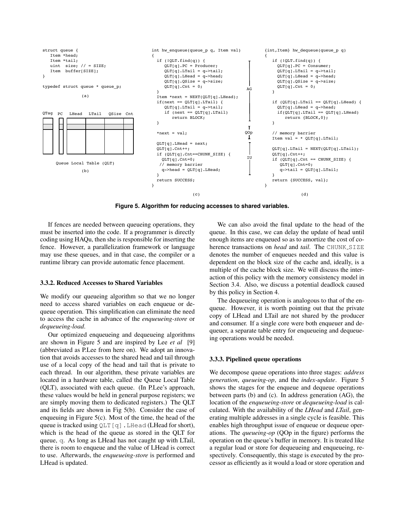

**Figure 5. Algorithm for reducing accesses to shared variables.**

If fences are needed between queueing operations, they must be inserted into the code. If a programmer is directly coding using HAQu, then she is responsible for inserting the fence. However, a parallelization framework or language may use these queues, and in that case, the compiler or a runtime library can provide automatic fence placement.

#### 3.3.2. Reduced Accesses to Shared Variables

We modify our queueing algorithm so that we no longer need to access shared variables on each enqueue or dequeue operation. This simplification can eliminate the need to access the cache in advance of the *enqueueing-store* or *dequeueing-load*.

Our optimized enqueueing and dequeueing algorithms are shown in Figure 5 and are inspired by Lee *et al* [9] (abbreviated as P.Lee from here on). We adopt an innovation that avoids accesses to the shared head and tail through use of a local copy of the head and tail that is private to each thread. In our algorithm, these private variables are located in a hardware table, called the Queue Local Table (QLT), associated with each queue. (In P.Lee's approach, these values would be held in general purpose registers; we are simply moving them to dedicated registers.) The QLT and its fields are shown in Fig 5(b). Consider the case of enqueuing in Figure 5(c). Most of the time, the head of the queue is tracked using  $QLT[q]$ . LHead (LHead for short), which is the head of the queue as stored in the QLT for queue, q. As long as LHead has not caught up with LTail, there is room to enqueue and the value of LHead is correct to use. Afterwards, the *enqueueing-store* is performed and LHead is updated.

We can also avoid the final update to the head of the queue. In this case, we can delay the update of head until enough items are enqueued so as to amortize the cost of coherence transactions on *head* and *tail*. The CHUNK\_SIZE denotes the number of enqueues needed and this value is dependent on the block size of the cache and, ideally, is a multiple of the cache block size. We will discuss the interaction of this policy with the memory consistency model in Section 3.4. Also, we discuss a potential deadlock caused by this policy in Section 4.

The dequeueing operation is analogous to that of the enqueue. However, it is worth pointing out that the private copy of LHead and LTail are not shared by the producer and consumer. If a single core were both enqueuer and dequeuer, a separate table entry for enqueueing and dequeueing operations would be needed.

### 3.3.3. Pipelined queue operations

We decompose queue operations into three stages: *address generation*, *queueing-op*, and the *index-update*. Figure 5 shows the stages for the enqueue and dequeue operations between parts (b) and (c). In address generation (AG), the location of the *enqueueing-store* or *dequeueing-load* is calculated. With the availability of the *LHead* and *LTail*, generating multiple addresses in a single cycle is feasible. This enables high throughput issue of enqueue or dequeue operations. The *queueing-op* (QOp in the figure) performs the operation on the queue's buffer in memory. It is treated like a regular load or store for dequeueing and enqueueing, respectively. Consequently, this stage is executed by the processor as efficiently as it would a load or store operation and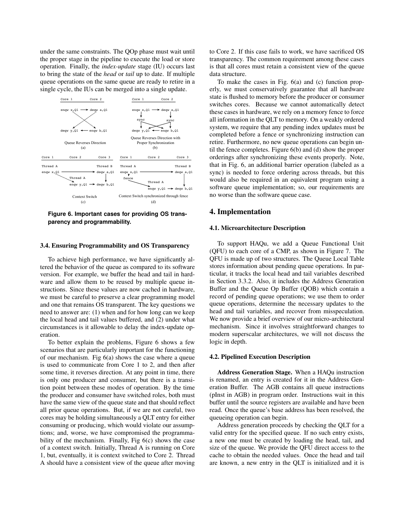under the same constraints. The QOp phase must wait until the proper stage in the pipeline to execute the load or store operation. Finally, the *index-update* stage (IU) occurs last to bring the state of the *head* or *tail* up to date. If multiple queue operations on the same queue are ready to retire in a single cycle, the IUs can be merged into a single update.



**Figure 6. Important cases for providing OS transparency and programmability.**

### 3.4. Ensuring Programmability and OS Transparency

To achieve high performance, we have significantly altered the behavior of the queue as compared to its software version. For example, we buffer the head and tail in hardware and allow them to be reused by multiple queue instructions. Since these values are now cached in hardware, we must be careful to preserve a clear programming model and one that remains OS transparent. The key questions we need to answer are: (1) when and for how long can we keep the local head and tail values buffered, and (2) under what circumstances is it allowable to delay the index-update operation.

To better explain the problems, Figure 6 shows a few scenarios that are particularly important for the functioning of our mechanism. Fig  $6(a)$  shows the case where a queue is used to communicate from Core 1 to 2, and then after some time, it reverses direction. At any point in time, there is only one producer and consumer, but there is a transition point between these modes of operation. By the time the producer and consumer have switched roles, both must have the same view of the queue state and that should reflect all prior queue operations. But, if we are not careful, two cores may be holding simultaneously a QLT entry for either consuming or producing, which would violate our assumptions; and, worse, we have compromised the programmability of the mechanism. Finally, Fig  $6(c)$  shows the case of a context switch. Initially, Thread A is running on Core 1, but, eventually, it is context switched to Core 2. Thread A should have a consistent view of the queue after moving

to Core 2. If this case fails to work, we have sacrificed OS transparency. The common requirement among these cases is that all cores must retain a consistent view of the queue data structure.

To make the cases in Fig. 6(a) and (c) function properly, we must conservatively guarantee that all hardware state is flushed to memory before the producer or consumer switches cores. Because we cannot automatically detect these cases in hardware, we rely on a memory fence to force all information in the QLT to memory. On a weakly ordered system, we require that any pending index updates must be completed before a fence or synchronizing instruction can retire. Furthermore, no new queue operations can begin until the fence completes. Figure 6(b) and (d) show the proper orderings after synchronizing these events properly. Note, that in Fig. 6, an additional barrier operation (labeled as a sync) is needed to force ordering across threads, but this would also be required in an equivalent program using a software queue implementation; so, our requirements are no worse than the software queue case.

### 4. Implementation

### 4.1. Microarchitecture Description

To support HAQu, we add a Queue Functional Unit (QFU) to each core of a CMP, as shown in Figure 7. The QFU is made up of two structures. The Queue Local Table stores information about pending queue operations. In particular, it tracks the local head and tail variables described in Section 3.3.2. Also, it includes the Address Generation Buffer and the Queue Op Buffer (QOB) which contain a record of pending queue operations; we use them to order queue operations, determine the necessary updates to the head and tail variables, and recover from misspeculation. We now provide a brief overview of our micro-architectural mechanism. Since it involves straightforward changes to modern superscalar architectures, we will not discuss the logic in depth.

### 4.2. Pipelined Execution Description

Address Generation Stage. When a HAQu instruction is renamed, an entry is created for it in the Address Generation Buffer. The AGB contains all queue instructions (pInst in AGB) in program order. Instructions wait in this buffer until the source registers are available and have been read. Once the queue's base address has been resolved, the queueing operation can begin.

Address generation proceeds by checking the QLT for a valid entry for the specified queue. If no such entry exists, a new one must be created by loading the head, tail, and size of the queue. We provide the QFU direct access to the cache to obtain the needed values. Once the head and tail are known, a new entry in the QLT is initialized and it is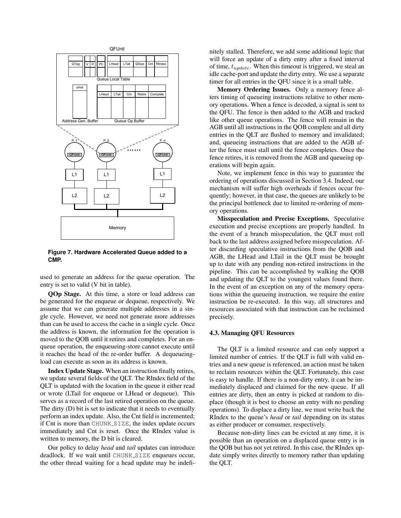

**Figure 7. Hardware Accelerated Queue added to a CMP.**

used to generate an address for the queue operation. The entry is set to valid (V bit in table).

QOp Stage. At this time, a store or load address can be generated for the enqueue or dequeue, respectively. We assume that we can generate multiple addresses in a single cycle. However, we need not generate more addresses than can be used to access the cache in a single cycle. Once the address is known, the information for the operation is moved to the QOB until it retires and completes. For an enqueue operation, the enqueueing-store cannot execute until it reaches the head of the re-order buffer. A dequeueingload can execute as soon as its address is known.

Index Update Stage. When an instruction finally retires, we update several fields of the QLT. The RIndex field of the QLT is updated with the location in the queue it either read or wrote (LTail for enqueue or LHead or dequeue). This serves as a record of the last retired operation on the queue. The dirty (D) bit is set to indicate that it needs to eventually perform an index update. Also, the Cnt field is incremented; if Cnt is more than CHUNK SIZE, the index update occurs immediately and Cnt is reset. Once the RIndex value is written to memory, the D bit is cleared.

Our policy to delay *head* and *tail* updates can introduce deadlock. If we wait until CHUNK SIZE enqueues occur, the other thread waiting for a head update may be indefinitely stalled. Therefore, we add some additional logic that will force an update of a dirty entry after a fixed interval of time,  $t_{update}$ . When this timeout is triggered, we steal an idle cache-port and update the dirty entry. We use a separate timer for all entries in the QFU since it is a small table.

Memory Ordering Issues. Only a memory fence alters timing of queueing instructions relative to other memory operations. When a fence is decoded, a signal is sent to the QFU. The fence is then added to the AGB and tracked like other queue operations. The fence will remain in the AGB until all instructions in the QOB complete and all dirty entries in the QLT are flushed to memory and invalidated; and, queueing instructions that are added to the AGB after the fence must stall until the fence completes. Once the fence retires, it is removed from the AGB and queueing operations will begin again.

Note, we implement fence in this way to guarantee the ordering of operations discussed in Section 3.4. Indeed, our mechanism will suffer high overheads if fences occur frequently; however, in that case, the queues are unlikely to be the principal bottleneck due to limited re-ordering of memory operations.

Misspeculation and Precise Exceptions. Speculative execution and precise exceptions are properly handled. In the event of a branch misspeculation, the QLT must roll back to the last address assigned before misspeculation. After discarding speculative instructions from the QOB and AGB, the LHead and LTail in the QLT must be brought up to date with any pending non-retired instructions in the pipeline. This can be accomplished by walking the QOB and updating the QLT to the youngest values found there. In the event of an exception on any of the memory operations within the queueing instruction, we require the entire instruction be re-executed. In this way, all structures and resources associated with that instruction can be reclaimed precisely.

#### 4.3. Managing QFU Resources

The QLT is a limited resource and can only support a limited number of entries. If the QLT is full with valid entries and a new queue is referenced, an action must be taken to reclaim resources within the QLT. Fortunately, this case is easy to handle. If there is a non-dirty entry, it can be immediately displaced and claimed for the new queue. If all entries are dirty, then an entry is picked at random to displace (though it is best to choose an entry with no pending operations). To displace a dirty line, we must write back the RIndex to the queue's *head* or *tail* depending on its status as either producer or consumer, respectively.

Because non-dirty lines can be evicted at any time, it is possible than an operation on a displaced queue entry is in the QOB but has not yet retired. In this case, the RIndex update simply writes directly to memory rather than updating the QLT.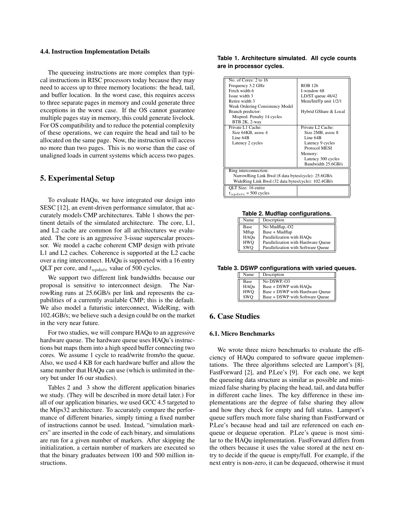#### 4.4. Instruction Implementation Details

The queueing instructions are more complex than typical instructions in RISC processors today because they may need to access up to three memory locations: the head, tail, and buffer location. In the worst case, this requires access to three separate pages in memory and could generate three exceptions in the worst case. If the OS cannot guarantee multiple pages stay in memory, this could generate livelock. For OS compatibility and to reduce the potential complexity of these operations, we can require the head and tail to be allocated on the same page. Now, the instruction will access no more than two pages. This is no worse than the case of unaligned loads in current systems which access two pages.

## 5. Experimental Setup

To evaluate HAQu, we have integrated our design into SESC [12], an event-driven performance simulator, that accurately models CMP architectures. Table 1 shows the pertinent details of the simulated architecture. The core, L1, and L2 cache are common for all architectures we evaluated. The core is an aggressive 3-issue superscalar processor. We model a cache coherent CMP design with private L1 and L2 caches. Coherence is supported at the L2 cache over a ring interconnect. HAQu is supported with a 16 entry QLT per core, and  $t_{update}$  value of 500 cycles.

We support two different link bandwidths because our proposal is sensitive to interconnect design. The NarrowRing runs at 25.6GB/s per link and represents the capabilities of a currently available CMP; this is the default. We also model a futuristic interconnect, WideRing, with 102.4GB/s; we believe such a design could be on the market in the very near future.

For two studies, we will compare HAQu to an aggressive hardware queue. The hardware queue uses HAQu's instructions but maps them into a high speed buffer connecting two cores. We assume 1 cycle to read/write from/to the queue. Also, we used 4 KB for each hardware buffer and allow the same number that HAQu can use (which is unlimited in theory but under 16 our studies).

Tables 2 and 3 show the different application binaries we study. (They will be described in more detail later.) For all of our application binaries, we used GCC 4.5 targeted to the Mips32 architecture. To accurately compare the performance of different binaries, simply timing a fixed number of instructions cannot be used. Instead, "simulation markers" are inserted in the code of each binary, and simulations are run for a given number of markers. After skipping the initialization, a certain number of markers are executed so that the binary graduates between 100 and 500 million instructions.

### **Table 1. Architecture simulated. All cycle counts are in processor cycles.**

| No. of Cores: 2 to 16                              |                       |  |  |  |
|----------------------------------------------------|-----------------------|--|--|--|
| Frequency 3.2 GHz                                  | <b>ROB 126</b>        |  |  |  |
| Fetch width 6                                      | I-window 68           |  |  |  |
| Issue width 3                                      | LD/ST queue 48/42     |  |  |  |
| Retire width 3                                     | Mem/Int/Fp unit 1/2/1 |  |  |  |
| Weak Ordering Consistency Model                    |                       |  |  |  |
| Branch predictor:                                  | Hybrid GShare & Local |  |  |  |
| Mispred. Penalty 14 cycles                         |                       |  |  |  |
| BTB 2K, 2-way                                      |                       |  |  |  |
| Private L1 Cache:                                  | Private L2 Cache:     |  |  |  |
| Size 64KB, assoc 4                                 | Size 2MB, assoc 8     |  |  |  |
| Line 64B                                           | Line 64B              |  |  |  |
| Latency 2 cycles                                   | Latency 9 cycles      |  |  |  |
|                                                    | Protocol MESI         |  |  |  |
|                                                    | Memory:               |  |  |  |
|                                                    | Latency 300 cycles    |  |  |  |
|                                                    | Bandwidth 25.6GB/s    |  |  |  |
| Ring interconnection:                              |                       |  |  |  |
| NarrowRing Link Bwd (8 data bytes/cycle): 25.6GB/s |                       |  |  |  |
| WideRing Link Bwd (32 data bytes/cycle): 102.4GB/s |                       |  |  |  |
| OLT Size: 16 entire                                |                       |  |  |  |
| $t_{update} = 500$ cycles                          |                       |  |  |  |
|                                                    |                       |  |  |  |

**Table 2. Mudflap configurations.**

| Name       | Description                         |
|------------|-------------------------------------|
| Base       | No Mudflap,-O2                      |
| Mflap      | Base + Mudflap                      |
| HAOu       | Parallelization with HAQu           |
| <b>HWO</b> | Parallelization with Hardware Oueue |
| SWO        | Parallelization with Software Oueue |

**Table 3. DSWP configurations with varied queues.**

| Name | Description                     |  |
|------|---------------------------------|--|
| Base | No DSWP-03                      |  |
| HAOu | Base + DSWP with HAOu           |  |
| HWO  | Base + DSWP with Hardware Oueue |  |
| swo  | Base + DSWP with Software Queue |  |

# 6. Case Studies

### 6.1. Micro Benchmarks

We wrote three micro benchmarks to evaluate the efficiency of HAQu compared to software queue implementations. The three algorithms selected are Lamport's [8], FastForward [2], and P.Lee's [9]. For each one, we kept the queueing data structure as similar as possible and minimized false sharing by placing the head, tail, and data buffer in different cache lines. The key difference in these implementations are the degree of false sharing they allow and how they check for empty and full status. Lamport's queue suffers much more false sharing than FastForward or P.Lee's because head and tail are referenced on each enqueue or dequeue operation. P.Lee's queue is most similar to the HAQu implementation. FastForward differs from the others because it uses the value stored at the next entry to decide if the queue is empty/full. For example, if the next entry is non-zero, it can be dequeued, otherwise it must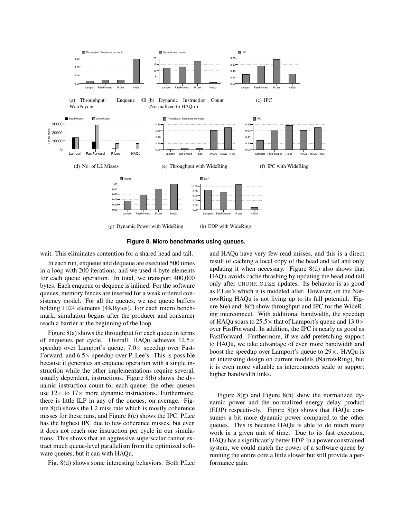



wait. This eliminates contention for a shared head and tail.

In each run, enqueue and dequeue are executed 500 times in a loop with 200 iterations, and we used 4-byte elements for each queue operation. In total, we transport 400,000 bytes. Each enqueue or dequeue is inlined. For the software queues, memory fences are inserted for a weak ordered consistency model. For all the queues, we use queue buffers holding 1024 elements (4KBytes). For each micro benchmark, simulation begins after the producer and consumer reach a barrier at the beginning of the loop.

Figure 8(a) shows the throughput for each queue in terms of enqueues per cycle. Overall, HAQu achieves  $12.5\times$ speedup over Lamport's queue,  $7.0 \times$  speedup over Fast-Forward, and  $6.5 \times$  speedup over P. Lee's. This is possible because it generates an enqueue operation with a single instruction while the other implementations require several, usually dependent, instructions. Figure 8(b) shows the dynamic instruction count for each queue; the other queues use  $12 \times$  to  $17 \times$  more dynamic instructions. Furthermore, there is little ILP in any of the queues, on average. Figure 8(d) shows the L2 miss rate which is mostly coherence misses for these runs, and Figure 8(c) shows the IPC. P.Lee has the highest IPC due to few coherence misses, but even it does not reach one instruction per cycle in our simulations. This shows that an aggressive superscalar cannot extract much queue-level parallelism from the optimized software queues, but it can with HAQu.

Fig. 8(d) shows some interesting behaviors. Both P.Lee

and HAQu have very few read misses, and this is a direct result of caching a local copy of the head and tail and only updating it when necessary. Figure 8(d) also shows that HAQu avoids cache thrashing by updating the head and tail only after CHUNK SIZE updates. Its behavior is as good as P.Lee's which it is modeled after. However, on the NarrowRing HAQu is not living up to its full potential. Figure 8(e) and 8(f) show throughput and IPC for the WideRing interconnect. With additional bandwidth, the speedup of HAQu soars to  $25.5\times$  that of Lamport's queue and  $13.0\times$ over FastForward. In addition, the IPC is nearly as good as FastForward. Furthermore, if we add prefetching support to HAQu, we take advantage of even more bandwidth and boost the speedup over Lamport's queue to 29×. HAQu is an interesting design on current models (NarrowRing), but it is even more valuable as interconnects scale to support higher bandwidth links.

Figure 8(g) and Figure 8(h) show the normalized dynamic power and the normalized energy delay product (EDP) respectively. Figure 8(g) shows that HAQu consumes a bit more dynamic power compared to the other queues. This is because HAQu is able to do much more work in a given unit of time. Due to its fast execution, HAQu has a significantly better EDP. In a power constrained system, we could match the power of a software queue by running the entire core a little slower but still provide a performance gain.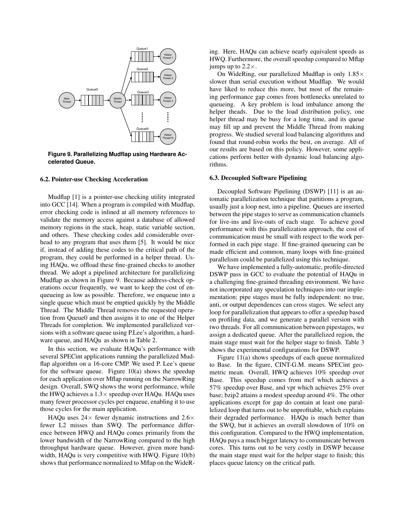

**Figure 9. Parallelizing Mudflap using Hardware Accelerated Queue.**

### 6.2. Pointer-use Checking Acceleration

Mudflap [1] is a pointer-use checking utility integrated into GCC [14]. When a program is compiled with Mudflap, error checking code is inlined at all memory references to validate the memory access against a database of allowed memory regions in the stack, heap, static variable section, and others. These checking codes add considerable overhead to any program that uses them [5]. It would be nice if, instead of adding these codes to the critical path of the program, they could be performed in a helper thread. Using HAQu, we offload these fine-grained checks to another thread. We adopt a pipelined architecture for parallelizing Mudflap as shown in Figure 9. Because address-check operations occur frequently, we want to keep the cost of enqueueing as low as possible. Therefore, we enqueue into a single queue which must be emptied quickly by the Middle Thread. The Middle Thread removes the requested operation from Queue0 and then assigns it to one of the Helper Threads for completion. We implemented parallelized versions with a software queue using P.Lee's algorithm, a hardware queue, and HAQu as shown in Table 2.

In this section, we evaluate HAQu's performance with several SPECint applications running the parallelized Mudflap algorithm on a 16-core CMP. We used P. Lee's queue for the software queue. Figure  $10(a)$  shows the speedup for each application over Mflap running on the NarrowRing design. Overall, SWQ shows the worst performance, while the HWQ achieves a  $1.3\times$  speedup over HAQu. HAQu uses many fewer processor cycles per enqueue, enabling it to use those cycles for the main application.

HAQu uses  $24\times$  fewer dynamic instructions and  $2.6\times$ fewer L2 misses than SWQ. The performance difference between HWQ and HAQu comes primarily from the lower bandwidth of the NarrowRing compared to the high throughput hardware queue. However, given more bandwidth, HAQu is very competitive with HWQ. Figure 10(b) shows that performance normalized to Mflap on the WideR-

ing. Here, HAQu can achieve nearly equivalent speeds as HWQ. Furthermore, the overall speedup compared to Mflap jumps up to  $2.2 \times$ .

On WideRing, our parallelized Mudflap is only  $1.85\times$ slower than serial execution without Mudflap. We would have liked to reduce this more, but most of the remaining performance gap comes from bottlenecks unrelated to queueing. A key problem is load imbalance among the helper theads. Due to the load distribution policy, one helper thread may be busy for a long time, and its queue may fill up and prevent the Middle Thread from making progress. We studied several load balancing algorithms and found that round-robin works the best, on average. All of our results are based on this policy. However, some applications perform better with dynamic load balancing algorithms.

### 6.3. Decoupled Software Pipelining

Decoupled Software Pipelining (DSWP) [11] is an automatic parallelization technique that partitions a program, usually just a loop nest, into a pipeline. Queues are inserted between the pipe stages to serve as communication channels for live-ins and live-outs of each stage. To achieve good performance with this parallelization approach, the cost of communication must be small with respect to the work performed in each pipe stage. If fine-grained queueing can be made efficient and common, many loops with fine-grained parallelism could be parallelized using this technique.

We have implemented a fully-automatic, profile-directed DSWP pass in GCC to evaluate the potential of HAQu in a challenging fine-grained threading environment. We have not incorporated any speculation techniques into our implementation; pipe stages must be fully independent: no true, anti, or output dependences can cross stages. We select any loop for parallelization that appears to offer a speedup based on profiling data, and we generate a parallel version with two threads. For all communication between pipestages, we assign a dedicated queue. After the parallelized region, the main stage must wait for the helper stage to finish. Table 3 shows the experimental configurations for DSWP.

Figure 11(a) shows speedups of each queue normalized to Base. In the figure, CINT-G.M. means SPECint geometric mean. Overall, HWQ achieves 10% speedup over Base. This speedup comes from mcf which achieves a 57% speedup over Base, and vpr which achieves 25% over base; bzip2 attains a modest speedup around 4%. The other applications except for gap do contain at least one parallelized loop that turns out to be unprofitable, which explains their degraded performance. HAQu is much better than the SWQ, but it achieves an overall slowdown of 10% on this configuration. Compared to the HWQ implementation, HAQu pays a much bigger latency to communicate between cores. This turns out to be very costly in DSWP because the main stage must wait for the helper stage to finish; this places queue latency on the critical path.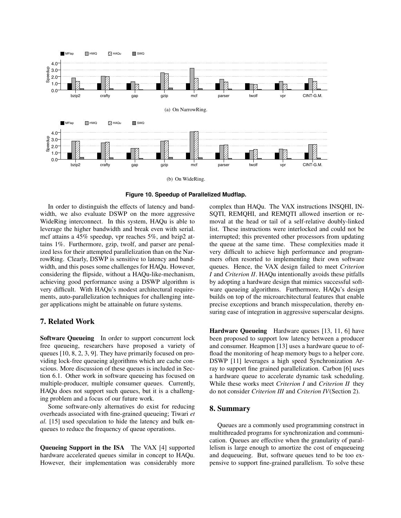

**Figure 10. Speedup of Parallelized Mudflap.**

In order to distinguish the effects of latency and bandwidth, we also evaluate DSWP on the more aggressive WideRing interconnect. In this system, HAQu is able to leverage the higher bandwidth and break even with serial. mcf attains a 45% speedup, vpr reaches 5%, and bzip2 attains 1%. Furthermore, gzip, twolf, and parser are penalized less for their attempted parallelization than on the NarrowRing. Clearly, DSWP is sensitive to latency and bandwidth, and this poses some challenges for HAQu. However, considering the flipside, without a HAQu-like-mechanism, achieving good performance using a DSWP algorithm is very difficult. With HAQu's modest architectural requirements, auto-parallelization techniques for challenging integer applications might be attainable on future systems.

# 7. Related Work

Software Queueing In order to support concurrent lock free queueing, researchers have proposed a variety of queues [10, 8, 2, 3, 9]. They have primarily focused on providing lock-free queueing algorithms which are cache conscious. More discussion of these queues is included in Section 6.1. Other work in software queueing has focused on multiple-producer, multiple consumer queues. Currently, HAQu does not support such queues, but it is a challenging problem and a focus of our future work.

Some software-only alternatives do exist for reducing overheads associated with fine-grained queueing; Tiwari *et al.* [15] used speculation to hide the latency and bulk enqueues to reduce the frequency of queue operations.

Queueing Support in the ISA The VAX [4] supported hardware accelerated queues similar in concept to HAQu. However, their implementation was considerably more

complex than HAQu. The VAX instructions INSQHI, IN-SQTI, REMQHI, and REMQTI allowed insertion or removal at the head or tail of a self-relative doubly-linked list. These instructions were interlocked and could not be interrupted; this prevented other processors from updating the queue at the same time. These complexities made it very difficult to achieve high performance and programmers often resorted to implementing their own software queues. Hence, the VAX design failed to meet *Criterion I* and *Criterion II*. HAQu intentionally avoids these pitfalls by adopting a hardware design that mimics successful software queueing algorithms. Furthermore, HAQu's design builds on top of the microarchitectural features that enable precise exceptions and branch misspeculation, thereby ensuring ease of integration in aggressive superscalar designs.

Hardware Queueing Hardware queues [13, 11, 6] have been proposed to support low latency between a producer and consumer. Heapmon [13] uses a hardware queue to offload the monitoring of heap memory bugs to a helper core. DSWP [11] leverages a high speed Synchronization Array to support fine grained parallelization. Carbon [6] uses a hardware queue to accelerate dynamic task scheduling. While these works meet *Criterion I* and *Criterion II* they do not consider *Criterion III* and *Criterion IV*(Section 2).

### 8. Summary

Queues are a commonly used programming construct in multithreaded programs for synchronization and communication. Queues are effective when the granularity of parallelism is large enough to amortize the cost of enqueueing and dequeueing. But, software queues tend to be too expensive to support fine-grained parallelism. To solve these